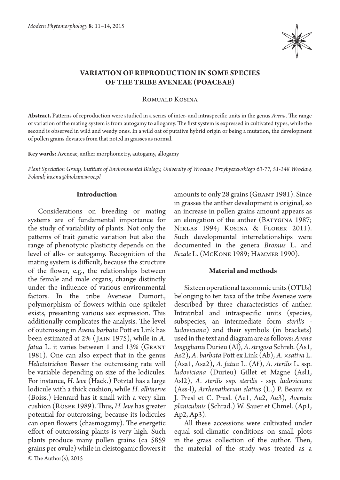

# **Variation of reproduction in some species of the tribe Aveneae (Poaceae)**

Romuald Kosina

**Abstract.** Patterns of reproduction were studied in a series of inter- and intraspecific units in the genus *Avena*. The range of variation of the mating system is from autogamy to allogamy. The first system is expressed in cultivated types, while the second is observed in wild and weedy ones. In a wild oat of putative hybrid origin or being a mutation, the development of pollen grains deviates from that noted in grasses as normal.

**Key words:** Aveneae, anther morphometry, autogamy, allogamy

*Plant Speciation Group, Institute of Environmental Biology, University of Wroclaw, Przybyszewskiego 63-77, 51-148 Wroclaw, Poland; kosina@biol.uni.wroc.pl*

## **Introduction**

© The Author(s), 2015 Considerations on breeding or mating systems are of fundamental importance for the study of variability of plants. Not only the patterns of trait genetic variation but also the range of phenotypic plasticity depends on the level of allo- or autogamy. Recognition of the mating system is difficult, because the structure of the flower, e.g., the relationships between the female and male organs, change distinctly under the influence of various environmental factors. In the tribe Aveneae Dumort., polymorphism of flowers within one spikelet exists, presenting various sex expression. This additionally complicates the analysis. The level of outcrossing in *Avena barbata* Pott ex Link has been estimated at 2% ( Jain 1975), while in *A. fatua* L. it varies between 1 and 13% (GRANT 1981). One can also expect that in the genus *Helictotrichon* Besser the outcrossing rate will be variable depending on size of the lodicules. For instance, *H. leve* (Hack.) Potztal has a large lodicule with a thick cushion, while *H. albinerve*  (Boiss.) Henrard has it small with a very slim cushion (Röser 1989). Thus, *H. leve* has greater potential for outcrossing, because its lodicules can open flowers (chasmogamy). The energetic effort of outcrossing plants is very high. Such plants produce many pollen grains (ca 5859 grains per ovule) while in cleistogamic flowers it amounts to only 28 grains (Grant 1981). Since in grasses the anther development is original, so an increase in pollen grains amount appears as an elongation of the anther (BATYGINA 1987; NIKLAS 1994; KOSINA & FLOREK 2011). Such developmental interrelationships were documented in the genera *Bromus* L. and *Secale* L. (McKone 1989; Hammer 1990).

# **Material and methods**

Sixteen operational taxonomic units (OTUs) belonging to ten taxa of the tribe Aveneae were described by three characteristics of anther. Intratribal and intraspecific units (species, subspecies, an intermediate form *sterilis ludoviciana*) and their symbols (in brackets) used in the text and diagram are as follows: *Avena longiglumis* Durieu (Al), *A. strigosa* Schreb. (As1, As2), *A. barbata* Pott ex Link (Ab), *A. ×sativa* L. (Asa1, Asa2), *A. fatua* L. (Af), *A. sterilis* L. ssp. *ludoviciana* (Durieu) Gillet et Magne (Asl1, Asl2), *A. sterilis* ssp. *sterilis* - ssp. *ludoviciana* (Ass-l), *Arrhenatherum elatius* (L.) P. Beauv. ex J. Presl et C. Presl. (Ae1, Ae2, Ae3), *Avenula planiculmis* (Schrad.) W. Sauer et Chmel. (Ap1, Ap2, Ap3).

All these accessions were cultivated under equal soil-climatic conditions on small plots in the grass collection of the author. Then, the material of the study was treated as a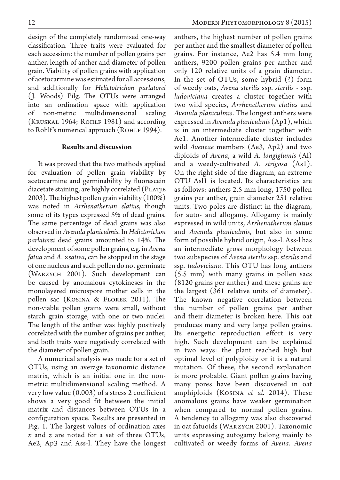design of the completely randomised one-way classification. Three traits were evaluated for each accession: the number of pollen grains per anther, length of anther and diameter of pollen grain. Viability of pollen grains with application of acetocarmine was estimated for all accessions, and additionally for *Helictotrichon parlatorei*  ( J. Woods) Pilg. The OTUs were arranged into an ordination space with application of non-metric multidimensional scaling (KRUSKAL 1964; ROHLF 1981) and according to Rohlf's numerical approach (ROHLF 1994).

### **Results and discussion**

It was proved that the two methods applied for evaluation of pollen grain viability by acetocarmine and germinability by fluorescein diacetate staining, are highly correlated (PLATJE 2003). The highest pollen grain viability (100%) was noted in *Arrhenatherum elatius*, though some of its types expressed 5% of dead grains. The same percentage of dead grains was also observed in *Avenula planiculmis*. In *Helictorichon parlatorei* dead grains amounted to 14%. The development of some pollen grains, e.g. in *Avena fatua* and *A. ×sativa*, can be stopped in the stage of one nucleus and such pollen do not germinate (Warzych 2001). Such development can be caused by anomalous cytokineses in the monolayered microspore mother cells in the pollen sac (Kosina & Florek 2011). The non-viable pollen grains were small, without starch grain storage, with one or two nuclei. The length of the anther was highly positively correlated with the number of grains per anther, and both traits were negatively correlated with the diameter of pollen grain.

A numerical analysis was made for a set of OTUs, using an average taxonomic distance matrix, which is an initial one in the nonmetric multidimensional scaling method. A very low value (0.003) of a stress 2 coefficient shows a very good fit between the initial matrix and distances between OTUs in a configuration space. Results are presented in Fig. 1. The largest values of ordination axes *x* and *z* are noted for a set of three OTUs, Ae2, Ap3 and Ass-l. They have the longest

anthers, the highest number of pollen grains per anther and the smallest diameter of pollen grains. For instance, Ae2 has 5.4 mm long anthers, 9200 pollen grains per anther and only 120 relative units of a grain diameter. In the set of OTUs, some hybrid (?) form of weedy oats, *Avena sterilis* ssp. *sterilis* - ssp. *ludoviciana* creates a cluster together with two wild species, *Arrhenetherum elatius* and *Avenula planiculmis*. The longest anthers were expressed in *Avenula planiculmis* (Ap1), which is in an intermediate cluster together with Ae1. Another intermediate cluster includes wild *Aveneae* members (Ae3, Ap2) and two diploids of *Avena*, a wild *A. longiglumis* (Al) and a weedy-cultivated *A. strigosa* (As1). On the right side of the diagram, an extreme OTU Asl1 is located. Its characteristics are as follows: anthers 2.5 mm long, 1750 pollen grains per anther, grain diameter 251 relative units. Two poles are distinct in the diagram, for auto- and allogamy. Allogamy is mainly expressed in wild units, *Arrhenatherum elatius* and *Avenula planiculmis*, but also in some form of possible hybrid origin, Ass-l. Ass-l has an intermediate gross morphology between two subspecies of *Avena sterilis* ssp. *sterilis* and ssp. *ludoviciana*. This OTU has long anthers (5.5 mm) with many grains in pollen sacs (8120 grains per anther) and these grains are the largest (361 relative units of diameter). The known negative correlation between the number of pollen grains per anther and their diameter is broken here. This oat produces many and very large pollen grains. Its energetic reproduction effort is very high. Such development can be explained in two ways: the plant reached high but optimal level of polyploidy or it is a natural mutation. Of these, the second explanation is more probable. Giant pollen grains having many pores have been discovered in oat amphiploids (Kosina *et al.* 2014). These anomalous grains have weaker germination when compared to normal pollen grains. A tendency to allogamy was also discovered in oat fatuoids (Warzych 2001). Taxonomic units expressing autogamy belong mainly to cultivated or weedy forms of *Avena*. *Avena*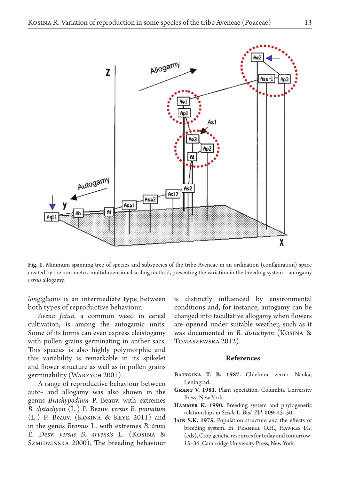

**Fig. 1.** Minimum spanning tree of species and subspecies of the tribe Aveneae in an ordination (configuration) space created by the non-metric multidimensional scaling method, presenting the variation in the breeding system – autogamy *versus* allogamy.

*longiglumis* is an intermediate type between both types of reproductive behaviour.

*Avena fatua*, a common weed in cereal cultivation, is among the autogamic units. Some of its forms can even express cleistogamy with pollen grains germinating in anther sacs. This species is also highly polymorphic and this variability is remarkable in its spikelet and flower structure as well as in pollen grains germinability (Warzych 2001).

A range of reproductive behaviour between auto- and allogamy was also shown in the genus *Brachypodium* P. Beauv. with extremes *B. distachyon* (L.) P. Beauv. *versus B. pinnatum*  (L.) P. Beauv. (Kosina & Kłyk 2011) and in the genus *Bromus* L. with extremes *B. trinii* É. Desv. *versus B. arvensis* L. (Kosina & SzMIDZIŃSKA 2000). The breeding behaviour is distinctly influenced by environmental conditions and, for instance, autogamy can be changed into facultative allogamy when flowers are opened under suitable weather, such as it was documented in *B. distachyon* (Kosina & Tomaszewska 2012).

#### **References**

- **Batygina T. B. 1987.** Chlebnoe zerno. Nauka, Leningrad.
- **Grant V. 1981.** Plant speciation. Columbia University Press, New York.
- **Hammer K. 1990.** Breeding system and phylogenetic relationships in *Secale* L. *Biol. Zbl.* **109**: 45–50.
- **Jain S.K. 1975.** Population structure and the effects of breeding system. In: Frankel O.H., Hawkes J.G. (eds), Crop genetic resources for today and tomorrow: 15–36. Cambridge University Press, New York.